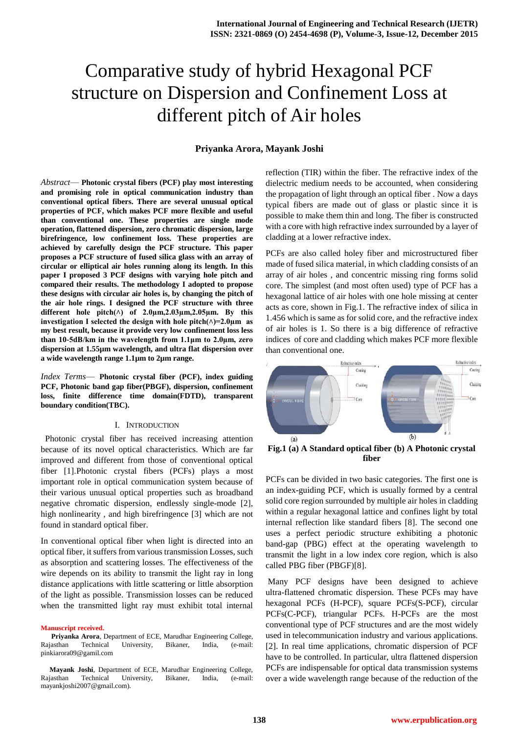# Comparative study of hybrid Hexagonal PCF structure on Dispersion and Confinement Loss at different pitch of Air holes

## **Priyanka Arora, Mayank Joshi**

*Abstract*— **Photonic crystal fibers (PCF) play most interesting and promising role in optical communication industry than conventional optical fibers. There are several unusual optical properties of PCF, which makes PCF more flexible and useful than conventional one. These properties are single mode operation, flattened dispersion, zero chromatic dispersion, large birefringence, low confinement loss. These properties are achieved by carefully design the PCF structure. This paper proposes a PCF structure of fused silica glass with an array of circular or elliptical air holes running along its length. In this paper I proposed 3 PCF designs with varying hole pitch and compared their results. The methodology I adopted to propose these designs with circular air holes is, by changing the pitch of the air hole rings. I designed the PCF structure with three different hole pitch(˄) of 2.0µm,2.03µm,2.05µm. By this**  investigation I selected the design with hole pitch $(\wedge)=2.0\mu$ m as **my best result, because it provide very low confinement loss less than 10-5dB/km in the wavelength from 1.1μm to 2.0μm, zero dispersion at 1.55µm wavelength, and ultra flat dispersion over a wide wavelength range 1.1µm to 2µm range.**

*Index Terms*— **Photonic crystal fiber (PCF), index guiding PCF, Photonic band gap fiber(PBGF), dispersion, confinement loss, finite difference time domain(FDTD), transparent boundary condition(TBC).**

#### I. INTRODUCTION

 Photonic crystal fiber has received increasing attention because of its novel optical characteristics. Which are far improved and different from those of conventional optical fiber [1].Photonic crystal fibers (PCFs) plays a most important role in optical communication system because of their various unusual optical properties such as broadband negative chromatic dispersion, endlessly single-mode [2], high nonlinearity , and high birefringence [3] which are not found in standard optical fiber.

In conventional optical fiber when light is directed into an optical fiber, it suffers from various transmission Losses, such as absorption and scattering losses. The effectiveness of the wire depends on its ability to transmit the light ray in long distance applications with little scattering or little absorption of the light as possible. Transmission losses can be reduced when the transmitted light ray must exhibit total internal

#### **Manuscript received.**

**Priyanka Arora**, Department of ECE, Marudhar Engineering College, Rajasthan Technical University, Bikaner, India, (e-mail: pinkiarora09@gamil.com

**Mayank Joshi**, Department of ECE, Marudhar Engineering College, Rajasthan Technical University, Bikaner, India, (e-mail: mayankjoshi2007@gmail.com).

reflection (TIR) within the fiber. The refractive index of the dielectric medium needs to be accounted, when considering the propagation of light through an optical fiber . Now a days typical fibers are made out of glass or plastic since it is possible to make them thin and long. The fiber is constructed with a core with high refractive index surrounded by a layer of cladding at a lower refractive index.

PCFs are also called holey fiber and microstructured fiber made of fused silica material, in which cladding consists of an array of air holes , and concentric missing ring forms solid core. The simplest (and most often used) type of PCF has a hexagonal lattice of air holes with one hole missing at center acts as core, shown in Fig.1. The refractive index of silica in 1.456 which is same as for solid core, and the refractive index of air holes is 1. So there is a big difference of refractive indices of core and cladding which makes PCF more flexible than conventional one.



**Fig.1 (a) A Standard optical fiber (b) A Photonic crystal fiber**

PCFs can be divided in two basic categories. The first one is an index-guiding PCF, which is usually formed by a central solid core region surrounded by multiple air holes in cladding within a regular hexagonal lattice and confines light by total internal reflection like standard fibers [8]. The second one uses a perfect periodic structure exhibiting a photonic band-gap (PBG) effect at the operating wavelength to transmit the light in a low index core region, which is also called PBG fiber (PBGF)[8].

Many PCF designs have been designed to achieve ultra-flattened chromatic dispersion. These PCFs may have hexagonal PCFs (H-PCF), square PCFs(S-PCF), circular PCFs(C-PCF), triangular PCFs. H-PCFs are the most conventional type of PCF structures and are the most widely used in telecommunication industry and various applications. [2]. In real time applications, chromatic dispersion of PCF have to be controlled. In particular, ultra flattened dispersion PCFs are indispensable for optical data transmission systems over a wide wavelength range because of the reduction of the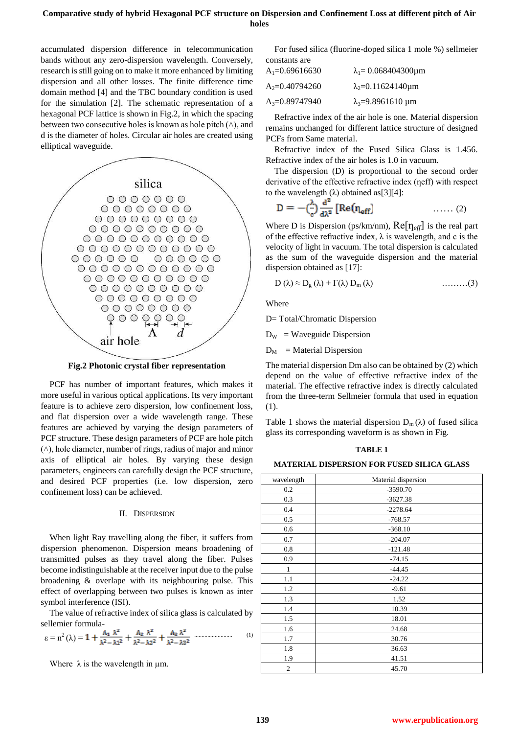## **Comparative study of hybrid Hexagonal PCF structure on Dispersion and Confinement Loss at different pitch of Air holes**

accumulated dispersion difference in telecommunication bands without any zero-dispersion wavelength. Conversely, research is still going on to make it more enhanced by limiting dispersion and all other losses. The finite difference time domain method [4] and the TBC boundary condition is used for the simulation [2]. The schematic representation of a hexagonal PCF lattice is shown in Fig.2, in which the spacing between two consecutive holes is known as hole pitch  $(\wedge)$ , and d is the diameter of holes. Circular air holes are created using elliptical waveguide.



**Fig.2 Photonic crystal fiber representation**

PCF has number of important features, which makes it more useful in various optical applications. Its very important feature is to achieve zero dispersion, low confinement loss, and flat dispersion over a wide wavelength range. These features are achieved by varying the design parameters of PCF structure. These design parameters of PCF are hole pitch  $(\wedge)$ , hole diameter, number of rings, radius of major and minor axis of elliptical air holes. By varying these design parameters, engineers can carefully design the PCF structure, and desired PCF properties (i.e. low dispersion, zero confinement loss) can be achieved.

## II. DISPERSION

When light Ray travelling along the fiber, it suffers from dispersion phenomenon. Dispersion means broadening of transmitted pulses as they travel along the fiber. Pulses become indistinguishable at the receiver input due to the pulse broadening & overlape with its neighbouring pulse. This effect of overlapping between two pulses is known as inter symbol interference (ISI).

The value of refractive index of silica glass is calculated by sellemier formula-

$$
\epsilon=n^2\left(\lambda\right)=1+\frac{A_1}{\lambda^2-\lambda 1^2}+\frac{A_2}{\lambda^2-\lambda 2^2}+\frac{A_3}{\lambda^2-\lambda 3^2}\,\, {\overset{\,\,{}_\text{\tiny\rm{}}}{\text{}}}\,\, {\overset{\,\,{}_\text{\tiny\rm{}}}{\text{}}}\,\, \overset{\,\,{}_\text{\tiny\rm{}}}{\text{}}\, \, (1)\,\,
$$

Where  $\lambda$  is the wavelength in  $\mu$ m.

For fused silica (fluorine-doped silica 1 mole %) sellmeier constants are

| $A_1=0.69616630$ | $\lambda_1 = 0.068404300 \mu m$  |
|------------------|----------------------------------|
| $A_2=0.40794260$ | $\lambda_2 = 0.11624140 \,\mu m$ |
| $A_3=0.89747940$ | $\lambda_3 = 9.8961610 \,\mu m$  |

Refractive index of the air hole is one. Material dispersion remains unchanged for different lattice structure of designed PCFs from Same material.

Refractive index of the Fused Silica Glass is 1.456. Refractive index of the air holes is 1.0 in vacuum.

The dispersion (D) is proportional to the second order derivative of the effective refractive index (neff) with respect to the wavelength (λ) obtained as [3][4]:

$$
D = -\left(\frac{\lambda}{c}\right) \frac{d^2}{d\lambda^2} \left[Re(\eta_{eff})\right] \qquad \qquad \dots \dots (2)
$$

Where D is Dispersion (ps/km/nm),  $\text{Re}[\eta_{\text{eff}}]$  is the real part of the effective refractive index,  $\lambda$  is wavelength, and c is the velocity of light in vacuum. The total dispersion is calculated as the sum of the waveguide dispersion and the material dispersion obtained as [17]:

$$
D(\lambda) \approx D_{g}(\lambda) + \Gamma(\lambda) D_{m}(\lambda) \qquad \qquad \ldots \ldots \ldots (3)
$$

Where

D= Total/Chromatic Dispersion

 $D_W$  = Waveguide Dispersion

 $D_M$  = Material Dispersion

The material dispersion Dm also can be obtained by (2) which depend on the value of effective refractive index of the material. The effective refractive index is directly calculated from the three-term Sellmeier formula that used in equation (1).

Table 1 shows the material dispersion  $D_m(\lambda)$  of fused silica glass its corresponding waveform is as shown in Fig.

#### **TABLE 1**

### **MATERIAL DISPERSION FOR FUSED SILICA GLASS**

| wavelength   | Material dispersion |
|--------------|---------------------|
| 0.2          | $-3590.70$          |
| 0.3          | $-3627.38$          |
| 0.4          | $-2278.64$          |
| 0.5          | $-768.57$           |
| 0.6          | $-368.10$           |
| 0.7          | $-204.07$           |
| 0.8          | $-121.48$           |
| 0.9          | $-74.15$            |
| $\mathbf{1}$ | $-44.45$            |
| 1.1          | $-24.22$            |
| 1.2          | $-9.61$             |
| 1.3          | 1.52                |
| 1.4          | 10.39               |
| 1.5          | 18.01               |
| 1.6          | 24.68               |
| 1.7          | 30.76               |
| 1.8          | 36.63               |
| 1.9          | 41.51               |
| 2            | 45.70               |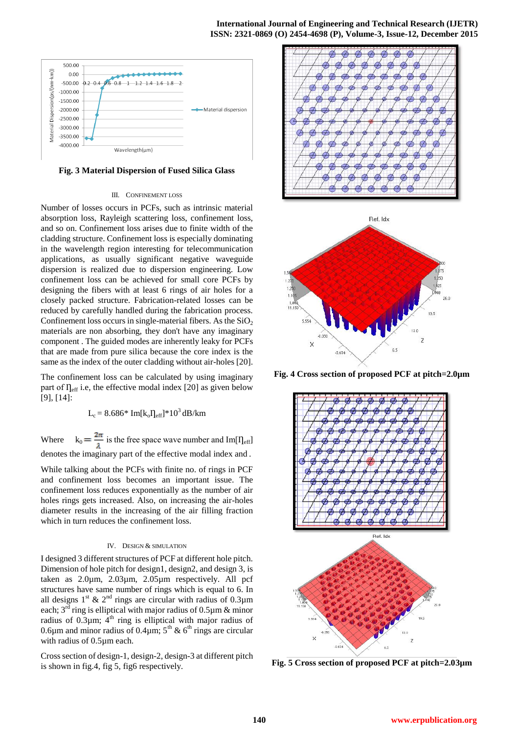

**Fig. 3 Material Dispersion of Fused Silica Glass**

#### III. CONFINEMENT LOSS

Number of losses occurs in PCFs, such as intrinsic material absorption loss, Rayleigh scattering loss, confinement loss, and so on. Confinement loss arises due to finite width of the cladding structure. Confinement loss is especially dominating in the wavelength region interesting for telecommunication applications, as usually significant negative waveguide dispersion is realized due to dispersion engineering. Low confinement loss can be achieved for small core PCFs by designing the fibers with at least 6 rings of air holes for a closely packed structure. Fabrication-related losses can be reduced by carefully handled during the fabrication process. Confinement loss occurs in single-material fibers. As the  $SiO<sub>2</sub>$ materials are non absorbing, they don't have any imaginary component . The guided modes are inherently leaky for PCFs that are made from pure silica because the core index is the same as the index of the outer cladding without air-holes [20].

The confinement loss can be calculated by using imaginary part of  $\Gamma_{\text{eff}}$  i.e, the effective modal index [20] as given below [9], [14]:

 $L_c = 8.686*$  Im[ $k_0$ ]<sub>eff</sub>]\*10<sup>3</sup> dB/km

Where  $k_0 = \frac{2\pi}{\lambda}$  is the free space wave number and Im[ $\eta_{eff}$ ] denotes the imaginary part of the effective modal index and .

While talking about the PCFs with finite no. of rings in PCF and confinement loss becomes an important issue. The confinement loss reduces exponentially as the number of air holes rings gets increased. Also, on increasing the air-holes diameter results in the increasing of the air filling fraction which in turn reduces the confinement loss.

#### IV. DESIGN & SIMULATION

I designed 3 different structures of PCF at different hole pitch. Dimension of hole pitch for design1, design2, and design 3, is taken as 2.0µm, 2.03µm, 2.05µm respectively. All pcf structures have same number of rings which is equal to 6. In all designs  $1<sup>st</sup>$  &  $2<sup>nd</sup>$  rings are circular with radius of 0.3 $\mu$ m each;  $3^{rd}$  ring is elliptical with major radius of 0.5 $\mu$ m & minor radius of  $0.3\mu$ m;  $4<sup>th</sup>$  ring is elliptical with major radius of 0.6 $\mu$ m and minor radius of 0.4 $\mu$ m; 5<sup>th</sup> & 6<sup>th</sup> rings are circular with radius of 0.5µm each.

Cross section of design-1, design-2, design-3 at different pitch is shown in fig.4, fig 5, fig6 respectively.





**Fig. 4 Cross section of proposed PCF at pitch=2.0µm**



**Fig. 5 Cross section of proposed PCF at pitch=2.03µm**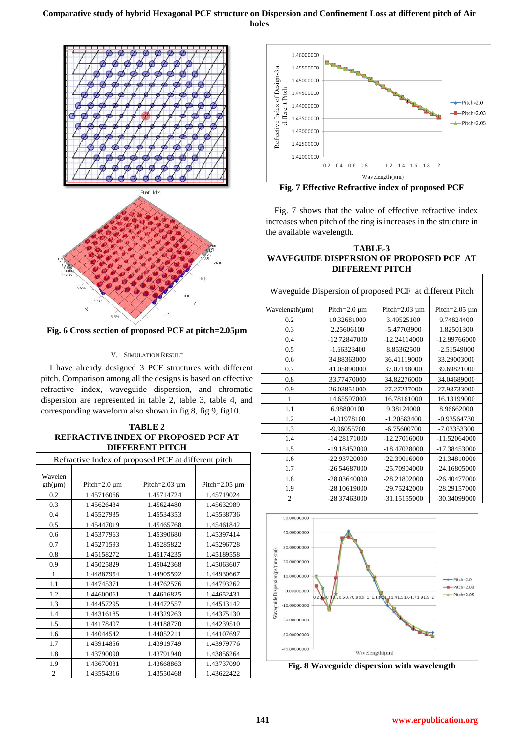# **Comparative study of hybrid Hexagonal PCF structure on Dispersion and Confinement Loss at different pitch of Air holes**



**Fig. 6 Cross section of proposed PCF at pitch=2.05µm**

## V. SIMULATION RESULT

I have already designed 3 PCF structures with different pitch. Comparison among all the designs is based on effective refractive index, waveguide dispersion, and chromatic dispersion are represented in table 2, table 3, table 4, and corresponding waveform also shown in fig 8, fig 9, fig10.

# **TABLE 2 REFRACTIVE INDEX OF PROPOSED PCF AT DIFFERENT PITCH**

| Refractive Index of proposed PCF at different pitch |                    |                     |                     |
|-----------------------------------------------------|--------------------|---------------------|---------------------|
| Wavelen<br>$gth(\mu m)$                             | Pitch= $2.0 \mu$ m | Pitch= $2.03 \mu m$ | Pitch= $2.05 \mu m$ |
| 0.2                                                 | 1.45716066         | 1.45714724          | 1.45719024          |
| 0.3                                                 | 1.45626434         | 1.45624480          | 1.45632989          |
| 0.4                                                 | 1.45527935         | 1.45534353          | 1.45538736          |
| 0.5                                                 | 1.45447019         | 1.45465768          | 1.45461842          |
| 0.6                                                 | 1.45377963         | 1.45390680          | 1.45397414          |
| 0.7                                                 | 1.45271593         | 1.45285822          | 1.45296728          |
| 0.8                                                 | 1.45158272         | 1.45174235          | 1.45189558          |
| 0.9                                                 | 1.45025829         | 1.45042368          | 1.45063607          |
| $\mathbf{1}$                                        | 1.44887954         | 1.44905592          | 1.44930667          |
| 1.1                                                 | 1.44745371         | 1.44762576          | 1.44793262          |
| 1.2                                                 | 1.44600061         | 1.44616825          | 1.44652431          |
| 1.3                                                 | 1.44457295         | 1.44472557          | 1.44513142          |
| 1.4                                                 | 1.44316185         | 1.44329263          | 1.44375130          |
| 1.5                                                 | 1.44178407         | 1.44188770          | 1.44239510          |
| 1.6                                                 | 1.44044542         | 1.44052211          | 1.44107697          |
| 1.7                                                 | 1.43914856         | 1.43919749          | 1.43979776          |
| 1.8                                                 | 1.43790090         | 1.43791940          | 1.43856264          |
| 1.9                                                 | 1.43670031         | 1.43668863          | 1.43737090          |
| $\overline{c}$                                      | 1.43554316         | 1.43550468          | 1.43622422          |



**Fig. 7 Effective Refractive index of proposed PCF**

Fig. 7 shows that the value of effective refractive index increases when pitch of the ring is increases in the structure in the available wavelength.

## **TABLE-3 WAVEGUIDE DISPERSION OF PROPOSED PCF AT DIFFERENT PITCH**

| Waveguide Dispersion of proposed PCF at different Pitch |                    |                     |                     |
|---------------------------------------------------------|--------------------|---------------------|---------------------|
|                                                         |                    |                     |                     |
| Wavelength(µm)                                          | Pitch= $2.0 \mu$ m | Pitch= $2.03 \mu$ m | Pitch= $2.05 \mu m$ |
| 0.2                                                     | 10.32681000        | 3.49525100          | 9.74824400          |
| 0.3                                                     | 2.25606100         | -5.47703900         | 1.82501300          |
| 0.4                                                     | -12.72847000       | $-12.24114000$      | -12.99766000        |
| 0.5                                                     | $-1.66323400$      | 8.85362500          | $-2.51549000$       |
| 0.6                                                     | 34.88363000        | 36.41119000         | 33.29003000         |
| 0.7                                                     | 41.05890000        | 37.07198000         | 39.69821000         |
| 0.8                                                     | 33.77470000        | 34.82276000         | 34.04689000         |
| 0.9                                                     | 26.03851000        | 27.27237000         | 27.93733000         |
| 1                                                       | 14.65597000        | 16.78161000         | 16.13199000         |
| 1.1                                                     | 6.98800100         | 9.38124000          | 8.96662000          |
| 1.2                                                     | -4.01978100        | $-1.20583400$       | $-0.93564730$       |
| 1.3                                                     | -9.96055700        | $-6.75600700$       | -7.03353300         |
| 1.4                                                     | -14.28171000       | $-12.27016000$      | $-11.52064000$      |
| 1.5                                                     | -19.18452000       | -18.47028000        | -17.38453000        |
| 1.6                                                     | -22.93720000       | $-22.39016000$      | $-21.34810000$      |
| 1.7                                                     | -26.54687000       | -25.70904000        | -24.16805000        |
| 1.8                                                     | -28.03640000       | -28.21802000        | $-26.40477000$      |
| 1.9                                                     | -28.10619000       | -29.75242000        | -28.29157000        |
| $\overline{c}$                                          | -28.37463000       | -31.15155000        | -30.34099000        |



**Fig. 8 Waveguide dispersion with wavelength**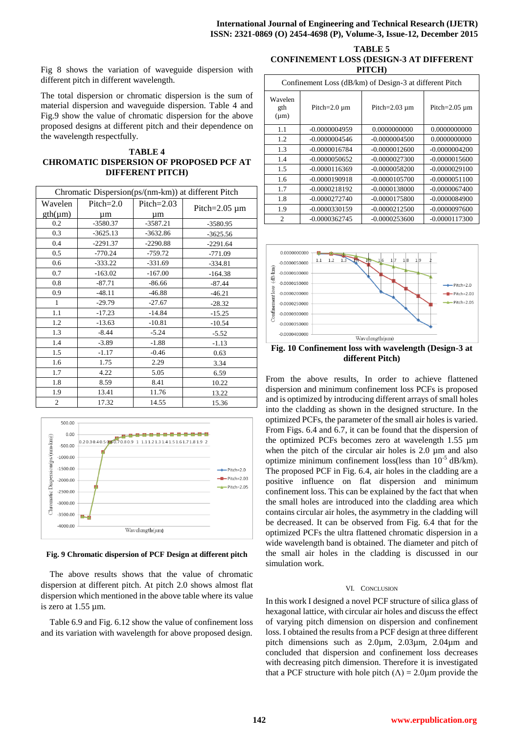Fig 8 shows the variation of waveguide dispersion with different pitch in different wavelength.

The total dispersion or chromatic dispersion is the sum of material dispersion and waveguide dispersion. Table 4 and Fig.9 show the value of chromatic dispersion for the above proposed designs at different pitch and their dependence on the wavelength respectfully.

**TABLE 4 CHROMATIC DISPERSION OF PROPOSED PCF AT DIFFERENT PITCH)**

| Chromatic Dispersion(ps/(nm-km)) at different Pitch |             |              |                     |
|-----------------------------------------------------|-------------|--------------|---------------------|
| Wavelen                                             | $Pitch=2.0$ | $Pitch=2.03$ | Pitch= $2.05 \mu m$ |
| $gth(\mu m)$                                        | μm          | um           |                     |
| 0.2                                                 | $-3580.37$  | $-3587.21$   | -3580.95            |
| 0.3                                                 | $-3625.13$  | $-3632.86$   | $-3625.56$          |
| 0.4                                                 | $-2291.37$  | $-2290.88$   | $-2291.64$          |
| 0.5                                                 | $-770.24$   | $-759.72$    | $-771.09$           |
| 0.6                                                 | $-333.22$   | $-331.69$    | $-334.81$           |
| 0.7                                                 | $-163.02$   | $-167.00$    | $-164.38$           |
| 0.8                                                 | $-87.71$    | $-86.66$     | $-87.44$            |
| 0.9                                                 | $-48.11$    | $-46.88$     | $-46.21$            |
| $\mathbf{1}$                                        | $-29.79$    | $-27.67$     | $-28.32$            |
| 1.1                                                 | $-17.23$    | $-14.84$     | $-15.25$            |
| 1.2                                                 | $-13.63$    | $-10.81$     | $-10.54$            |
| 1.3                                                 | $-8.44$     | $-5.24$      | $-5.52$             |
| 1.4                                                 | $-3.89$     | $-1.88$      | $-1.13$             |
| 1.5                                                 | $-1.17$     | $-0.46$      | 0.63                |
| 1.6                                                 | 1.75        | 2.29         | 3.34                |
| 1.7                                                 | 4.22        | 5.05         | 6.59                |
| 1.8                                                 | 8.59        | 8.41         | 10.22               |
| 1.9                                                 | 13.41       | 11.76        | 13.22               |
| $\mathbf{2}$                                        | 17.32       | 14.55        | 15.36               |



**Fig. 9 Chromatic dispersion of PCF Design at different pitch**

The above results shows that the value of chromatic dispersion at different pitch. At pitch 2.0 shows almost flat dispersion which mentioned in the above table where its value is zero at 1.55 µm.

Table 6.9 and Fig. 6.12 show the value of confinement loss and its variation with wavelength for above proposed design.

**TABLE 5 CONFINEMENT LOSS (DESIGN-3 AT DIFFERENT PITCH)**

| Confinement Loss (dB/km) of Design-3 at different Pitch |                    |                     |                     |
|---------------------------------------------------------|--------------------|---------------------|---------------------|
| Wavelen<br>gth<br>$(\mu m)$                             | Pitch= $2.0 \mu$ m | Pitch= $2.03 \mu$ m | Pitch= $2.05 \mu m$ |
| 1.1                                                     | $-0.0000004959$    | 0.0000000000        | 0.0000000000        |
| 1.2                                                     | $-0.0000004546$    | $-0.0000004500$     | 0.0000000000        |
| 1.3                                                     | $-0.0000016784$    | $-0.0000012600$     | $-0.0000004200$     |
| 1.4                                                     | $-0.0000050652$    | $-0.0000027300$     | $-0.0000015600$     |
| 1.5                                                     | $-0.0000116369$    | $-0.0000058200$     | $-0.0000029100$     |
| 1.6                                                     | $-0.0000190918$    | $-0.0000105700$     | $-0.0000051100$     |
| 1.7                                                     | $-0.0000218192$    | $-0.0000138000$     | $-0.0000067400$     |
| 1.8                                                     | $-0.0000272740$    | $-0.0000175800$     | $-0.0000084900$     |
| 1.9                                                     | $-0.0000330159$    | $-0.0000212500$     | $-0.0000097600$     |
| $\overline{c}$                                          | $-0.0000362745$    | $-0.0000253600$     | $-0.0000117300$     |



**different Pitch)**

From the above results, In order to achieve flattened dispersion and minimum confinement loss PCFs is proposed and is optimized by introducing different arrays of small holes into the cladding as shown in the designed structure. In the optimized PCFs, the parameter of the small air holes is varied. From Figs. 6.4 and 6.7, it can be found that the dispersion of the optimized PCFs becomes zero at wavelength 1.55 µm when the pitch of the circular air holes is 2.0 µm and also optimize minimum confinement loss(less than  $10^{-5}$  dB/km). The proposed PCF in Fig. 6.4, air holes in the cladding are a positive influence on flat dispersion and minimum confinement loss. This can be explained by the fact that when the small holes are introduced into the cladding area which contains circular air holes, the asymmetry in the cladding will be decreased. It can be observed from Fig. 6.4 that for the optimized PCFs the ultra flattened chromatic dispersion in a wide wavelength band is obtained. The diameter and pitch of the small air holes in the cladding is discussed in our simulation work.

#### VI. CONCLUSION

In this work I designed a novel PCF structure of silica glass of hexagonal lattice, with circular air holes and discuss the effect of varying pitch dimension on dispersion and confinement loss. I obtained the results from a PCF design at three different pitch dimensions such as 2.0µm, 2.03µm, 2.04µm and concluded that dispersion and confinement loss decreases with decreasing pitch dimension. Therefore it is investigated that a PCF structure with hole pitch  $(\Lambda) = 2.0 \mu m$  provide the